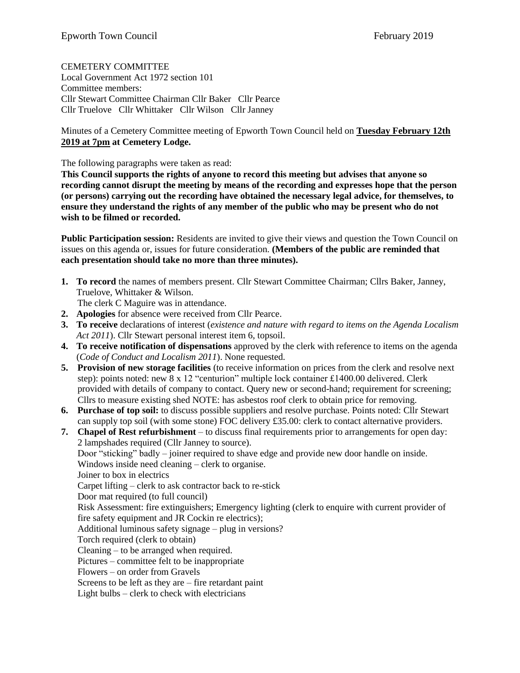CEMETERY COMMITTEE

Local Government Act 1972 section 101 Committee members: Cllr Stewart Committee Chairman Cllr Baker Cllr Pearce Cllr Truelove Cllr Whittaker Cllr Wilson Cllr Janney

Minutes of a Cemetery Committee meeting of Epworth Town Council held on **Tuesday February 12th 2019 at 7pm at Cemetery Lodge.** 

The following paragraphs were taken as read:

**This Council supports the rights of anyone to record this meeting but advises that anyone so recording cannot disrupt the meeting by means of the recording and expresses hope that the person (or persons) carrying out the recording have obtained the necessary legal advice, for themselves, to ensure they understand the rights of any member of the public who may be present who do not wish to be filmed or recorded.**

**Public Participation session:** Residents are invited to give their views and question the Town Council on issues on this agenda or, issues for future consideration. **(Members of the public are reminded that each presentation should take no more than three minutes).**

**1. To record** the names of members present. Cllr Stewart Committee Chairman; Cllrs Baker, Janney, Truelove, Whittaker & Wilson.

The clerk C Maguire was in attendance.

- **2. Apologies** for absence were received from Cllr Pearce.
- **3. To receive** declarations of interest (*existence and nature with regard to items on the Agenda Localism Act 2011*). Cllr Stewart personal interest item 6, topsoil.
- **4. To receive notification of dispensations** approved by the clerk with reference to items on the agenda (*Code of Conduct and Localism 2011*). None requested.
- **5. Provision of new storage facilities** (to receive information on prices from the clerk and resolve next step): points noted: new 8 x 12 "centurion" multiple lock container £1400.00 delivered. Clerk provided with details of company to contact. Query new or second-hand; requirement for screening; Cllrs to measure existing shed NOTE: has asbestos roof clerk to obtain price for removing.
- **6. Purchase of top soil:** to discuss possible suppliers and resolve purchase. Points noted: Cllr Stewart can supply top soil (with some stone) FOC delivery £35.00: clerk to contact alternative providers.

**7. Chapel of Rest refurbishment** – to discuss final requirements prior to arrangements for open day: 2 lampshades required (Cllr Janney to source). Door "sticking" badly – joiner required to shave edge and provide new door handle on inside. Windows inside need cleaning – clerk to organise. Joiner to box in electrics Carpet lifting – clerk to ask contractor back to re-stick Door mat required (to full council) Risk Assessment: fire extinguishers; Emergency lighting (clerk to enquire with current provider of fire safety equipment and JR Cockin re electrics); Additional luminous safety signage – plug in versions? Torch required (clerk to obtain) Cleaning – to be arranged when required. Pictures – committee felt to be inappropriate Flowers – on order from Gravels Screens to be left as they are – fire retardant paint Light bulbs – clerk to check with electricians